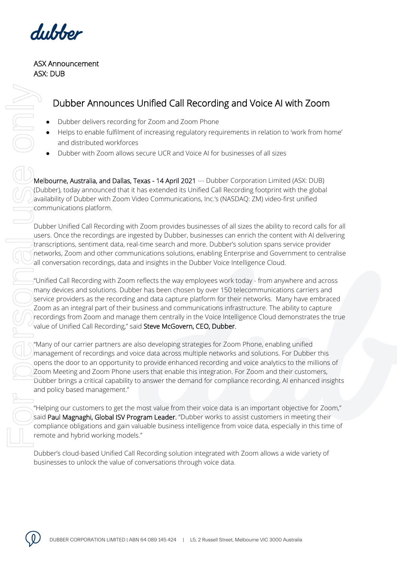dubber

## ASX Announcement ASX: DUB

## Dubber Announces Unified Call Recording and Voice AI with Zoom

- Dubber delivers recording for Zoom and Zoom Phone
- Helps to enable fulfilment of increasing regulatory requirements in relation to 'work from home' and distributed workforces
- Dubber with Zoom allows secure UCR and Voice AI for businesses of all sizes

Melbourne, Australia, and Dallas, Texas - 14 April 2021 --- Dubber Corporation Limited (ASX: DUB) (Dubber), today announced that it has extended its Unified Call Recording footprint with the global availability of Dubber with Zoom Video Communications, Inc.'s (NASDAQ: ZM) video-first unified communications platform.

Dubber Unified Call Recording with Zoom provides businesses of all sizes the ability to record calls for all users. Once the recordings are ingested by Dubber, businesses can enrich the content with AI delivering transcriptions, sentiment data, real-time search and more. Dubber's solution spans service provider networks, Zoom and other communications solutions, enabling Enterprise and Government to centralise all conversation recordings, data and insights in the Dubber Voice Intelligence Cloud.

"Unified Call Recording with Zoom reflects the way employees work today - from anywhere and across many devices and solutions. Dubber has been chosen by over 150 telecommunications carriers and service providers as the recording and data capture platform for their networks. Many have embraced Zoom as an integral part of their business and communications infrastructure. The ability to capture recordings from Zoom and manage them centrally in the Voice Intelligence Cloud demonstrates the true value of Unified Call Recording," said Steve McGovern, CEO, Dubber.

"Many of our carrier partners are also developing strategies for Zoom Phone, enabling unified management of recordings and voice data across multiple networks and solutions. For Dubber this opens the door to an opportunity to provide enhanced recording and voice analytics to the millions of Zoom Meeting and Zoom Phone users that enable this integration. For Zoom and their customers, Dubber brings a critical capability to answer the demand for compliance recording, AI enhanced insights and policy based management."

"Helping our customers to get the most value from their voice data is an important objective for Zoom," said Paul Magnaghi, Global ISV Program Leader. "Dubber works to assist customers in meeting their compliance obligations and gain valuable business intelligence from voice data, especially in this time of remote and hybrid working models."

Dubber's cloud-based Unified Call Recording solution integrated with Zoom allows a wide variety of